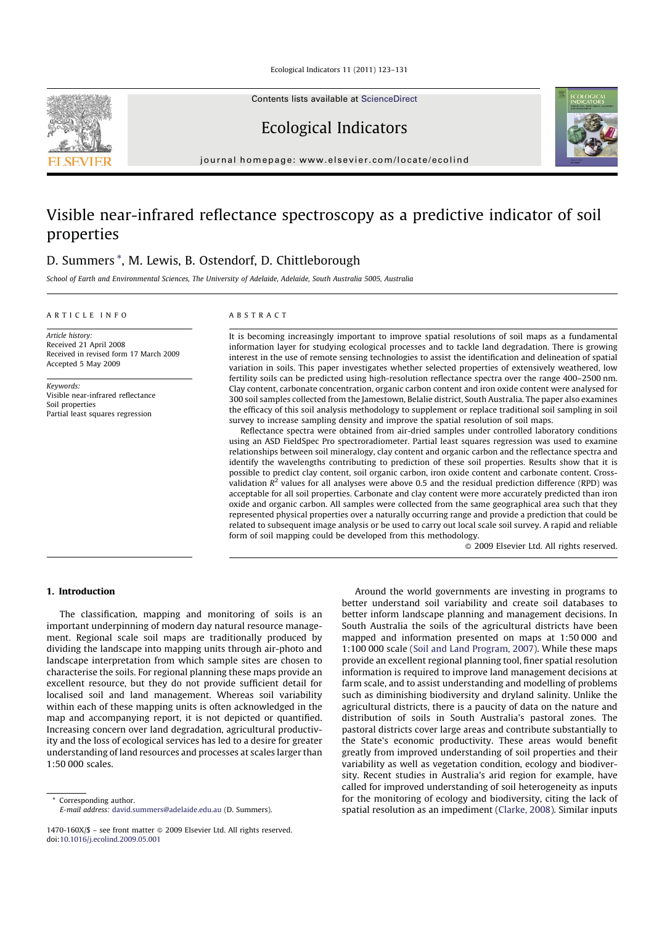Ecological Indicators 11 (2011) 123–131

Contents lists available at ScienceDirect



Ecological Indicators



journal homepage: www.elsevier.com/locate/ecolind

# Visible near-infrared reflectance spectroscopy as a predictive indicator of soil properties

## D. Summers \*, M. Lewis, B. Ostendorf, D. Chittleborough

School of Earth and Environmental Sciences, The University of Adelaide, Adelaide, South Australia 5005, Australia

#### ARTICLE INFO

Article history: Received 21 April 2008 Received in revised form 17 March 2009 Accepted 5 May 2009

Keywords: Visible near-infrared reflectance Soil properties Partial least squares regression

#### ABSTRACT

It is becoming increasingly important to improve spatial resolutions of soil maps as a fundamental information layer for studying ecological processes and to tackle land degradation. There is growing interest in the use of remote sensing technologies to assist the identification and delineation of spatial variation in soils. This paper investigates whether selected properties of extensively weathered, low fertility soils can be predicted using high-resolution reflectance spectra over the range 400–2500 nm. Clay content, carbonate concentration, organic carbon content and iron oxide content were analysed for 300 soil samples collected from the Jamestown, Belalie district, South Australia. The paper also examines the efficacy of this soil analysis methodology to supplement or replace traditional soil sampling in soil survey to increase sampling density and improve the spatial resolution of soil maps.

Reflectance spectra were obtained from air-dried samples under controlled laboratory conditions using an ASD FieldSpec Pro spectroradiometer. Partial least squares regression was used to examine relationships between soil mineralogy, clay content and organic carbon and the reflectance spectra and identify the wavelengths contributing to prediction of these soil properties. Results show that it is possible to predict clay content, soil organic carbon, iron oxide content and carbonate content. Crossvalidation  $R<sup>2</sup>$  values for all analyses were above 0.5 and the residual prediction difference (RPD) was acceptable for all soil properties. Carbonate and clay content were more accurately predicted than iron oxide and organic carbon. All samples were collected from the same geographical area such that they represented physical properties over a naturally occurring range and provide a prediction that could be related to subsequent image analysis or be used to carry out local scale soil survey. A rapid and reliable form of soil mapping could be developed from this methodology.

 $@$  2009 Elsevier Ltd. All rights reserved.

## 1. Introduction

The classification, mapping and monitoring of soils is an important underpinning of modern day natural resource management. Regional scale soil maps are traditionally produced by dividing the landscape into mapping units through air-photo and landscape interpretation from which sample sites are chosen to characterise the soils. For regional planning these maps provide an excellent resource, but they do not provide sufficient detail for localised soil and land management. Whereas soil variability within each of these mapping units is often acknowledged in the map and accompanying report, it is not depicted or quantified. Increasing concern over land degradation, agricultural productivity and the loss of ecological services has led to a desire for greater understanding of land resources and processes at scales larger than 1:50 000 scales.

Corresponding author. E-mail address: david.summers@adelaide.edu.au (D. Summers).

1470-160X/\$ - see front matter @ 2009 Elsevier Ltd. All rights reserved. doi:10.1016/j.ecolind.2009.05.001

Around the world governments are investing in programs to better understand soil variability and create soil databases to better inform landscape planning and management decisions. In South Australia the soils of the agricultural districts have been mapped and information presented on maps at 1:50 000 and 1:100 000 scale (Soil and Land Program, 2007). While these maps provide an excellent regional planning tool, finer spatial resolution information is required to improve land management decisions at farm scale, and to assist understanding and modelling of problems such as diminishing biodiversity and dryland salinity. Unlike the agricultural districts, there is a paucity of data on the nature and distribution of soils in South Australia's pastoral zones. The pastoral districts cover large areas and contribute substantially to the State's economic productivity. These areas would benefit greatly from improved understanding of soil properties and their variability as well as vegetation condition, ecology and biodiversity. Recent studies in Australia's arid region for example, have called for improved understanding of soil heterogeneity as inputs for the monitoring of ecology and biodiversity, citing the lack of spatial resolution as an impediment (Clarke, 2008). Similar inputs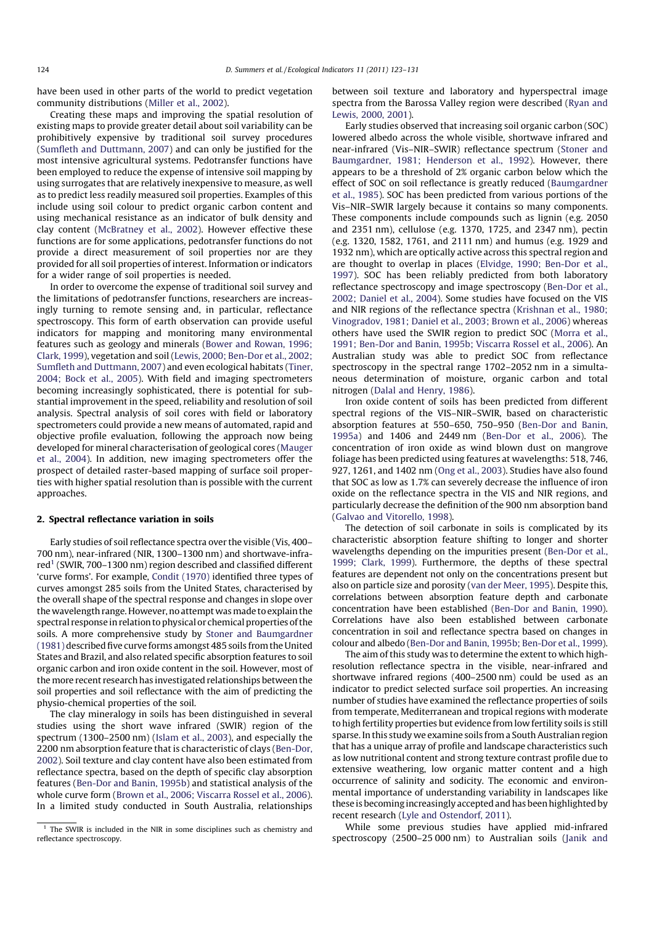124 D. Summers et al. / Ecological Indicators 11 (2011) 123–131

have been used in other parts of the world to predict vegetation community distributions (Miller et al., 2002).

Creating these maps and improving the spatial resolution of existing maps to provide greater detail about soil variability can be prohibitively expensive by traditional soil survey procedures (Sumfleth and Duttmann, 2007) and can only be justified for the most intensive agricultural systems. Pedotransfer functions have been employed to reduce the expense of intensive soil mapping by using surrogates that are relatively inexpensive to measure, as well as to predict less readily measured soil properties. Examples of this include using soil colour to predict organic carbon content and using mechanical resistance as an indicator of bulk density and clay content (McBratney et al., 2002). However effective these functions are for some applications, pedotransfer functions do not provide a direct measurement of soil properties nor are they provided for all soil properties of interest. Information or indicators for a wider range of soil properties is needed.

In order to overcome the expense of traditional soil survey and the limitations of pedotransfer functions, researchers are increasingly turning to remote sensing and, in particular, reflectance spectroscopy. This form of earth observation can provide useful indicators for mapping and monitoring many environmental features such as geology and minerals (Bower and Rowan, 1996; Clark, 1999), vegetation and soil (Lewis, 2000; Ben-Dor et al., 2002; Sumfleth and Duttmann, 2007) and even ecological habitats (Tiner, 2004; Bock et al., 2005). With field and imaging spectrometers becoming increasingly sophisticated, there is potential for substantial improvement in the speed, reliability and resolution of soil analysis. Spectral analysis of soil cores with field or laboratory spectrometers could provide a new means of automated, rapid and objective profile evaluation, following the approach now being developed for mineral characterisation of geological cores (Mauger et al., 2004). In addition, new imaging spectrometers offer the prospect of detailed raster-based mapping of surface soil properties with higher spatial resolution than is possible with the current approaches.

#### 2. Spectral reflectance variation in soils

Early studies of soil reflectance spectra over the visible (Vis, 400– 700 nm), near-infrared (NIR, 1300–1300 nm) and shortwave-infrared<sup>1</sup> (SWIR, 700-1300 nm) region described and classified different 'curve forms'. For example, Condit (1970) identified three types of curves amongst 285 soils from the United States, characterised by the overall shape of the spectral response and changes in slope over the wavelength range. However, no attempt was made to explain the spectral response in relation to physical or chemical properties of the soils. A more comprehensive study by Stoner and Baumgardner (1981) described five curve forms amongst 485 soils from the United States and Brazil, and also related specific absorption features to soil organic carbon and iron oxide content in the soil. However, most of the more recent research has investigated relationships between the soil properties and soil reflectance with the aim of predicting the physio-chemical properties of the soil.

The clay mineralogy in soils has been distinguished in several studies using the short wave infrared (SWIR) region of the spectrum (1300–2500 nm) (Islam et al., 2003), and especially the 2200 nm absorption feature that is characteristic of clays (Ben-Dor, 2002). Soil texture and clay content have also been estimated from reflectance spectra, based on the depth of specific clay absorption features (Ben-Dor and Banin, 1995b) and statistical analysis of the whole curve form (Brown et al., 2006; Viscarra Rossel et al., 2006). In a limited study conducted in South Australia, relationships between soil texture and laboratory and hyperspectral image spectra from the Barossa Valley region were described (Ryan and Lewis, 2000, 2001).

Early studies observed that increasing soil organic carbon (SOC) lowered albedo across the whole visible, shortwave infrared and near-infrared (Vis–NIR–SWIR) reflectance spectrum (Stoner and Baumgardner, 1981; Henderson et al., 1992). However, there appears to be a threshold of 2% organic carbon below which the effect of SOC on soil reflectance is greatly reduced (Baumgardner et al., 1985). SOC has been predicted from various portions of the Vis–NIR–SWIR largely because it contains so many components. These components include compounds such as lignin (e.g. 2050 and 2351 nm), cellulose (e.g. 1370, 1725, and 2347 nm), pectin (e.g. 1320, 1582, 1761, and 2111 nm) and humus (e.g. 1929 and 1932 nm), which are optically active across this spectral region and are thought to overlap in places (Elvidge, 1990; Ben-Dor et al., 1997). SOC has been reliably predicted from both laboratory reflectance spectroscopy and image spectroscopy (Ben-Dor et al., 2002; Daniel et al., 2004). Some studies have focused on the VIS and NIR regions of the reflectance spectra (Krishnan et al., 1980; Vinogradov, 1981; Daniel et al., 2003; Brown et al., 2006) whereas others have used the SWIR region to predict SOC (Morra et al., 1991; Ben-Dor and Banin, 1995b; Viscarra Rossel et al., 2006). An Australian study was able to predict SOC from reflectance spectroscopy in the spectral range 1702–2052 nm in a simultaneous determination of moisture, organic carbon and total nitrogen (Dalal and Henry, 1986).

Iron oxide content of soils has been predicted from different spectral regions of the VIS–NIR–SWIR, based on characteristic absorption features at 550–650, 750–950 (Ben-Dor and Banin, 1995a) and 1406 and 2449 nm (Ben-Dor et al., 2006). The concentration of iron oxide as wind blown dust on mangrove foliage has been predicted using features at wavelengths: 518, 746, 927, 1261, and 1402 nm (Ong et al., 2003). Studies have also found that SOC as low as 1.7% can severely decrease the influence of iron oxide on the reflectance spectra in the VIS and NIR regions, and particularly decrease the definition of the 900 nm absorption band (Galvao and Vitorello, 1998).

The detection of soil carbonate in soils is complicated by its characteristic absorption feature shifting to longer and shorter wavelengths depending on the impurities present (Ben-Dor et al., 1999; Clark, 1999). Furthermore, the depths of these spectral features are dependent not only on the concentrations present but also on particle size and porosity (van der Meer, 1995). Despite this, correlations between absorption feature depth and carbonate concentration have been established (Ben-Dor and Banin, 1990). Correlations have also been established between carbonate concentration in soil and reflectance spectra based on changes in colour and albedo (Ben-Dor and Banin, 1995b; Ben-Dor et al., 1999).

The aim of this study was to determine the extent to which highresolution reflectance spectra in the visible, near-infrared and shortwave infrared regions (400–2500 nm) could be used as an indicator to predict selected surface soil properties. An increasing number of studies have examined the reflectance properties of soils from temperate, Mediterranean and tropical regions with moderate to high fertility properties but evidence from low fertility soils is still sparse. In this study we examine soils from a South Australian region that has a unique array of profile and landscape characteristics such as low nutritional content and strong texture contrast profile due to extensive weathering, low organic matter content and a high occurrence of salinity and sodicity. The economic and environmental importance of understanding variability in landscapes like these is becoming increasingly accepted and has been highlighted by recent research (Lyle and Ostendorf, 2011).

While some previous studies have applied mid-infrared spectroscopy (2500–25 000 nm) to Australian soils (Janik and

 $1$  The SWIR is included in the NIR in some disciplines such as chemistry and reflectance spectroscopy.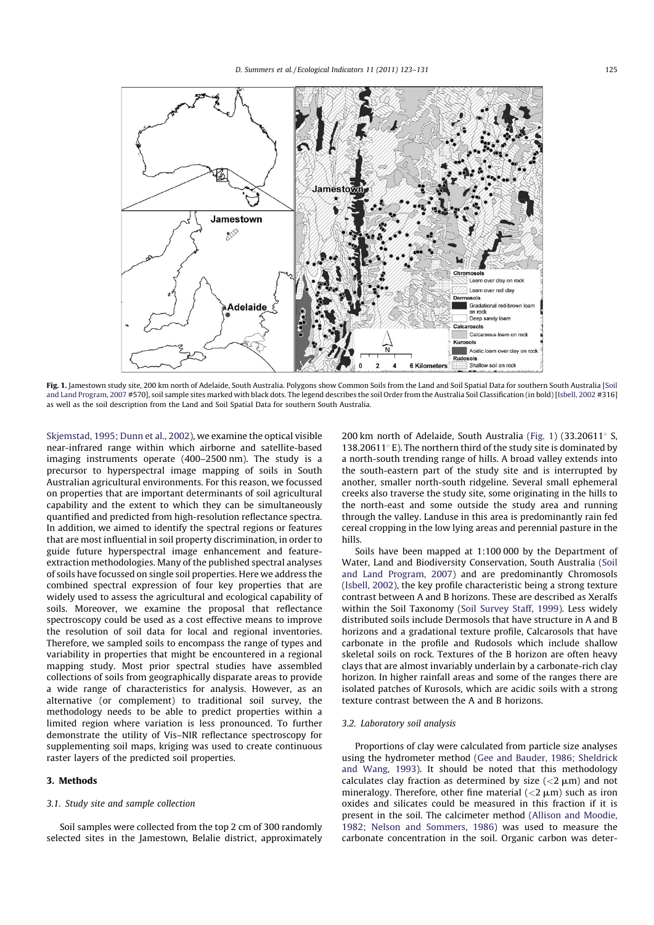

Fig. 1. Jamestown study site, 200 km north of Adelaide, South Australia. Polygons show Common Soils from the Land and Soil Spatial Data for southern South Australia [Soil and Land Program, 2007 #570], soil sample sites marked with black dots. The legend describes the soil Order from the Australia Soil Classification (in bold) [Isbell, 2002 #316] as well as the soil description from the Land and Soil Spatial Data for southern South Australia.

Skjemstad, 1995; Dunn et al., 2002), we examine the optical visible near-infrared range within which airborne and satellite-based imaging instruments operate (400–2500 nm). The study is a precursor to hyperspectral image mapping of soils in South Australian agricultural environments. For this reason, we focussed on properties that are important determinants of soil agricultural capability and the extent to which they can be simultaneously quantified and predicted from high-resolution reflectance spectra. In addition, we aimed to identify the spectral regions or features that are most influential in soil property discrimination, in order to guide future hyperspectral image enhancement and featureextraction methodologies. Many of the published spectral analyses of soils have focussed on single soil properties. Here we address the combined spectral expression of four key properties that are widely used to assess the agricultural and ecological capability of soils. Moreover, we examine the proposal that reflectance spectroscopy could be used as a cost effective means to improve the resolution of soil data for local and regional inventories. Therefore, we sampled soils to encompass the range of types and variability in properties that might be encountered in a regional mapping study. Most prior spectral studies have assembled collections of soils from geographically disparate areas to provide a wide range of characteristics for analysis. However, as an alternative (or complement) to traditional soil survey, the methodology needs to be able to predict properties within a limited region where variation is less pronounced. To further demonstrate the utility of Vis–NIR reflectance spectroscopy for supplementing soil maps, kriging was used to create continuous raster layers of the predicted soil properties.

### 3. Methods

### 3.1. Study site and sample collection

Soil samples were collected from the top 2 cm of 300 randomly selected sites in the Jamestown, Belalie district, approximately 200 km north of Adelaide, South Australia (Fig. 1) (33.20611 $\textdegree$  S, 138.20611 $\degree$  E). The northern third of the study site is dominated by a north-south trending range of hills. A broad valley extends into the south-eastern part of the study site and is interrupted by another, smaller north-south ridgeline. Several small ephemeral creeks also traverse the study site, some originating in the hills to the north-east and some outside the study area and running through the valley. Landuse in this area is predominantly rain fed cereal cropping in the low lying areas and perennial pasture in the hills.

Soils have been mapped at 1:100 000 by the Department of Water, Land and Biodiversity Conservation, South Australia (Soil and Land Program, 2007) and are predominantly Chromosols (Isbell, 2002), the key profile characteristic being a strong texture contrast between A and B horizons. These are described as Xeralfs within the Soil Taxonomy (Soil Survey Staff, 1999). Less widely distributed soils include Dermosols that have structure in A and B horizons and a gradational texture profile, Calcarosols that have carbonate in the profile and Rudosols which include shallow skeletal soils on rock. Textures of the B horizon are often heavy clays that are almost invariably underlain by a carbonate-rich clay horizon. In higher rainfall areas and some of the ranges there are isolated patches of Kurosols, which are acidic soils with a strong texture contrast between the A and B horizons.

## 3.2. Laboratory soil analysis

Proportions of clay were calculated from particle size analyses using the hydrometer method (Gee and Bauder, 1986; Sheldrick and Wang, 1993). It should be noted that this methodology calculates clay fraction as determined by size  $(< 2 \mu m)$  and not mineralogy. Therefore, other fine material  $(< 2 \mu m)$  such as iron oxides and silicates could be measured in this fraction if it is present in the soil. The calcimeter method (Allison and Moodie, 1982; Nelson and Sommers, 1986) was used to measure the carbonate concentration in the soil. Organic carbon was deter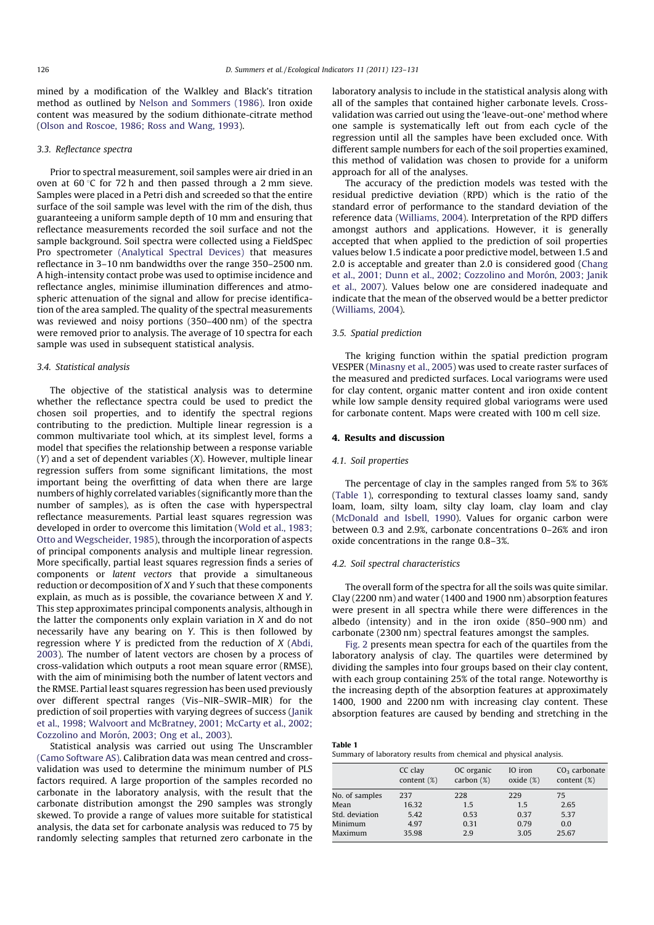mined by a modification of the Walkley and Black's titration method as outlined by Nelson and Sommers (1986). Iron oxide content was measured by the sodium dithionate-citrate method (Olson and Roscoe, 1986; Ross and Wang, 1993).

### 3.3. Reflectance spectra

Prior to spectral measurement, soil samples were air dried in an oven at  $60^{\circ}$ C for 72 h and then passed through a 2 mm sieve. Samples were placed in a Petri dish and screeded so that the entire surface of the soil sample was level with the rim of the dish, thus guaranteeing a uniform sample depth of 10 mm and ensuring that reflectance measurements recorded the soil surface and not the sample background. Soil spectra were collected using a FieldSpec Pro spectrometer (Analytical Spectral Devices) that measures reflectance in 3–10 nm bandwidths over the range 350–2500 nm. A high-intensity contact probe was used to optimise incidence and reflectance angles, minimise illumination differences and atmospheric attenuation of the signal and allow for precise identification of the area sampled. The quality of the spectral measurements was reviewed and noisy portions (350–400 nm) of the spectra were removed prior to analysis. The average of 10 spectra for each sample was used in subsequent statistical analysis.

## 3.4. Statistical analysis

The objective of the statistical analysis was to determine whether the reflectance spectra could be used to predict the chosen soil properties, and to identify the spectral regions contributing to the prediction. Multiple linear regression is a common multivariate tool which, at its simplest level, forms a model that specifies the relationship between a response variable (Y) and a set of dependent variables (X). However, multiple linear regression suffers from some significant limitations, the most important being the overfitting of data when there are large numbers of highly correlated variables (significantly more than the number of samples), as is often the case with hyperspectral reflectance measurements. Partial least squares regression was developed in order to overcome this limitation (Wold et al., 1983; Otto and Wegscheider, 1985), through the incorporation of aspects of principal components analysis and multiple linear regression. More specifically, partial least squares regression finds a series of components or latent vectors that provide a simultaneous reduction or decomposition of X and Y such that these components explain, as much as is possible, the covariance between X and Y. This step approximates principal components analysis, although in the latter the components only explain variation in  $X$  and do not necessarily have any bearing on Y. This is then followed by regression where Y is predicted from the reduction of  $X$  (Abdi, 2003). The number of latent vectors are chosen by a process of cross-validation which outputs a root mean square error (RMSE), with the aim of minimising both the number of latent vectors and the RMSE. Partial least squares regression has been used previously over different spectral ranges (Vis–NIR–SWIR–MIR) for the prediction of soil properties with varying degrees of success (Janik et al., 1998; Walvoort and McBratney, 2001; McCarty et al., 2002; Cozzolino and Morón, 2003; Ong et al., 2003).

Statistical analysis was carried out using The Unscrambler (Camo Software AS). Calibration data was mean centred and crossvalidation was used to determine the minimum number of PLS factors required. A large proportion of the samples recorded no carbonate in the laboratory analysis, with the result that the carbonate distribution amongst the 290 samples was strongly skewed. To provide a range of values more suitable for statistical analysis, the data set for carbonate analysis was reduced to 75 by randomly selecting samples that returned zero carbonate in the

laboratory analysis to include in the statistical analysis along with all of the samples that contained higher carbonate levels. Crossvalidation was carried out using the 'leave-out-one' method where one sample is systematically left out from each cycle of the regression until all the samples have been excluded once. With different sample numbers for each of the soil properties examined, this method of validation was chosen to provide for a uniform approach for all of the analyses.

The accuracy of the prediction models was tested with the residual predictive deviation (RPD) which is the ratio of the standard error of performance to the standard deviation of the reference data (Williams, 2004). Interpretation of the RPD differs amongst authors and applications. However, it is generally accepted that when applied to the prediction of soil properties values below 1.5 indicate a poor predictive model, between 1.5 and 2.0 is acceptable and greater than 2.0 is considered good (Chang et al., 2001; Dunn et al., 2002; Cozzolino and Morón, 2003; Janik et al., 2007). Values below one are considered inadequate and indicate that the mean of the observed would be a better predictor (Williams, 2004).

## 3.5. Spatial prediction

The kriging function within the spatial prediction program VESPER (Minasny et al., 2005) was used to create raster surfaces of the measured and predicted surfaces. Local variograms were used for clay content, organic matter content and iron oxide content while low sample density required global variograms were used for carbonate content. Maps were created with 100 m cell size.

## 4. Results and discussion

#### 4.1. Soil properties

The percentage of clay in the samples ranged from 5% to 36% (Table 1), corresponding to textural classes loamy sand, sandy loam, loam, silty loam, silty clay loam, clay loam and clay (McDonald and Isbell, 1990). Values for organic carbon were between 0.3 and 2.9%, carbonate concentrations 0–26% and iron oxide concentrations in the range 0.8–3%.

## 4.2. Soil spectral characteristics

The overall form of the spectra for all the soils was quite similar. Clay (2200 nm) and water (1400 and 1900 nm) absorption features were present in all spectra while there were differences in the albedo (intensity) and in the iron oxide (850–900 nm) and carbonate (2300 nm) spectral features amongst the samples.

Fig. 2 presents mean spectra for each of the quartiles from the laboratory analysis of clay. The quartiles were determined by dividing the samples into four groups based on their clay content, with each group containing 25% of the total range. Noteworthy is the increasing depth of the absorption features at approximately 1400, 1900 and 2200 nm with increasing clay content. These absorption features are caused by bending and stretching in the

| Table 1                                                            |
|--------------------------------------------------------------------|
| Summary of laboratory results from chemical and physical analysis. |
|                                                                    |

| CC clay<br>content $(\%)$ | OC organic<br>carbon $(\%)$ | IO iron<br>oxide $(\%)$ | $CO3$ carbonate<br>content $(\%)$ |
|---------------------------|-----------------------------|-------------------------|-----------------------------------|
| 237                       | 228                         | 229                     | 75                                |
| 16.32                     | 1.5                         | 1.5                     | 2.65                              |
| 5.42                      | 0.53                        | 0.37                    | 5.37                              |
| 4.97                      | 0.31                        | 0.79                    | 0.0                               |
| 35.98                     | 2.9                         | 3.05                    | 25.67                             |
|                           |                             |                         |                                   |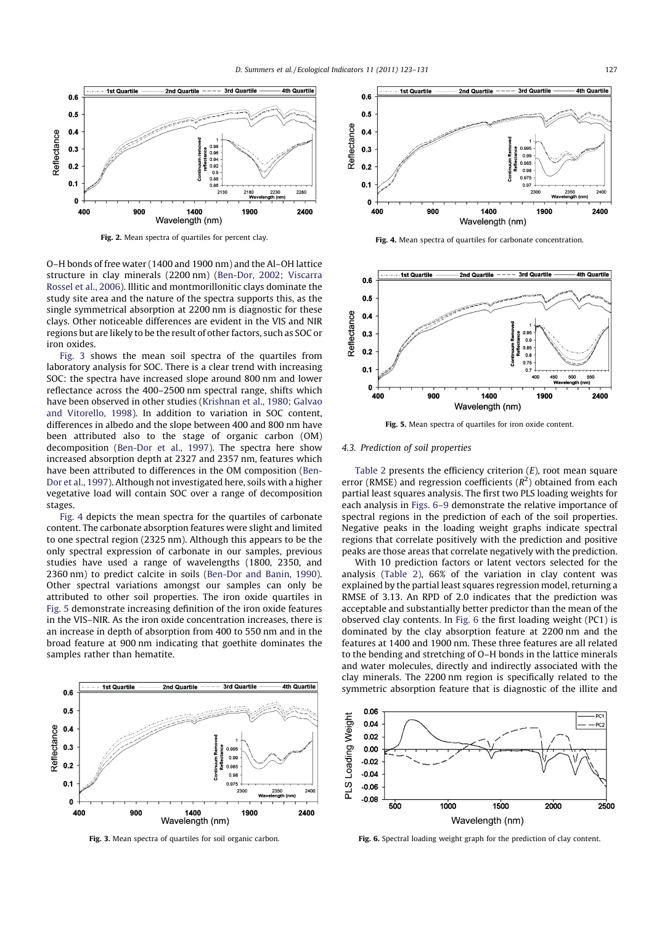

Fig. 2. Mean spectra of quartiles for percent clay.

O–H bonds of free water (1400 and 1900 nm) and the Al–OH lattice structure in clay minerals (2200 nm) (Ben-Dor, 2002; Viscarra Rossel et al., 2006). Illitic and montmorillonitic clays dominate the study site area and the nature of the spectra supports this, as the single symmetrical absorption at 2200 nm is diagnostic for these clays. Other noticeable differences are evident in the VIS and NIR regions but are likely to be the result of other factors, such as SOC or iron oxides.

Fig. 3 shows the mean soil spectra of the quartiles from laboratory analysis for SOC. There is a clear trend with increasing SOC: the spectra have increased slope around 800 nm and lower reflectance across the 400–2500 nm spectral range, shifts which have been observed in other studies (Krishnan et al., 1980; Galvao and Vitorello, 1998). In addition to variation in SOC content, differences in albedo and the slope between 400 and 800 nm have been attributed also to the stage of organic carbon (OM) decomposition (Ben-Dor et al., 1997). The spectra here show increased absorption depth at 2327 and 2357 nm, features which have been attributed to differences in the OM composition (Ben-Dor et al., 1997). Although not investigated here, soils with a higher vegetative load will contain SOC over a range of decomposition stages.

Fig. 4 depicts the mean spectra for the quartiles of carbonate content. The carbonate absorption features were slight and limited to one spectral region (2325 nm). Although this appears to be the only spectral expression of carbonate in our samples, previous studies have used a range of wavelengths (1800, 2350, and 2360 nm) to predict calcite in soils (Ben-Dor and Banin, 1990). Other spectral variations amongst our samples can only be attributed to other soil properties. The iron oxide quartiles in Fig. 5 demonstrate increasing definition of the iron oxide features in the VIS–NIR. As the iron oxide concentration increases, there is an increase in depth of absorption from 400 to 550 nm and in the broad feature at 900 nm indicating that goethite dominates the samples rather than hematite.



Fig. 3. Mean spectra of quartiles for soil organic carbon.



Fig. 4. Mean spectra of quartiles for carbonate concentration.



Fig. 5. Mean spectra of quartiles for iron oxide content.

## 4.3. Prediction of soil properties

Table 2 presents the efficiency criterion  $(E)$ , root mean square error (RMSE) and regression coefficients ( $R<sup>2</sup>$ ) obtained from each partial least squares analysis. The first two PLS loading weights for each analysis in Figs. 6–9 demonstrate the relative importance of spectral regions in the prediction of each of the soil properties. Negative peaks in the loading weight graphs indicate spectral regions that correlate positively with the prediction and positive peaks are those areas that correlate negatively with the prediction.

With 10 prediction factors or latent vectors selected for the analysis (Table 2), 66% of the variation in clay content was explained by the partial least squares regression model, returning a RMSE of 3.13. An RPD of 2.0 indicates that the prediction was acceptable and substantially better predictor than the mean of the observed clay contents. In Fig. 6 the first loading weight (PC1) is dominated by the clay absorption feature at 2200 nm and the features at 1400 and 1900 nm. These three features are all related to the bending and stretching of O–H bonds in the lattice minerals and water molecules, directly and indirectly associated with the clay minerals. The 2200 nm region is specifically related to the symmetric absorption feature that is diagnostic of the illite and



Fig. 6. Spectral loading weight graph for the prediction of clay content.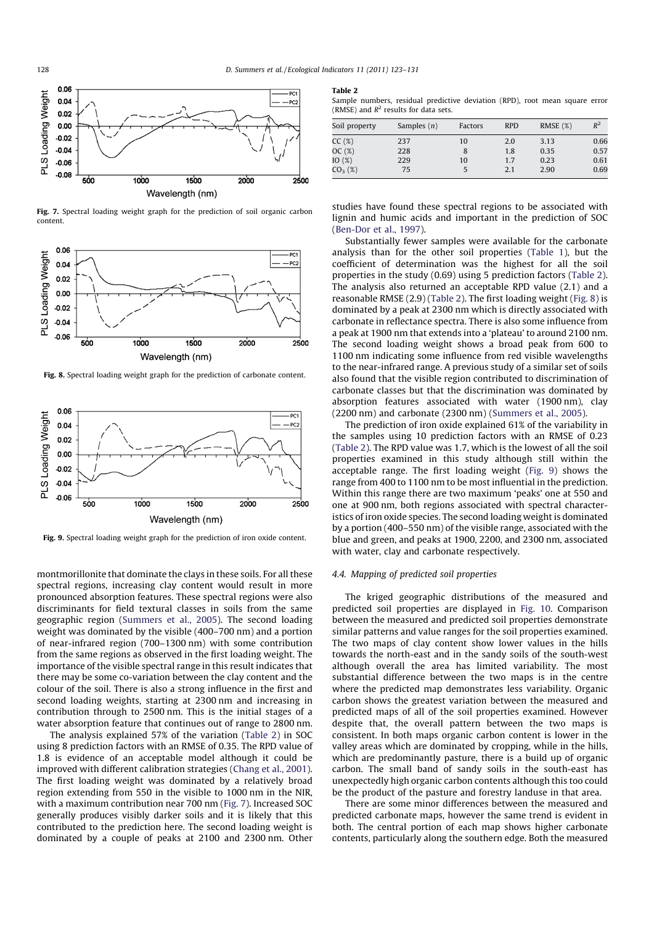

Fig. 7. Spectral loading weight graph for the prediction of soil organic carbon content.



Fig. 8. Spectral loading weight graph for the prediction of carbonate content.



Fig. 9. Spectral loading weight graph for the prediction of iron oxide content.

montmorillonite that dominate the clays in these soils. For all these spectral regions, increasing clay content would result in more pronounced absorption features. These spectral regions were also discriminants for field textural classes in soils from the same geographic region (Summers et al., 2005). The second loading weight was dominated by the visible (400–700 nm) and a portion of near-infrared region (700–1300 nm) with some contribution from the same regions as observed in the first loading weight. The importance of the visible spectral range in this result indicates that there may be some co-variation between the clay content and the colour of the soil. There is also a strong influence in the first and second loading weights, starting at 2300 nm and increasing in contribution through to 2500 nm. This is the initial stages of a water absorption feature that continues out of range to 2800 nm.

The analysis explained 57% of the variation (Table 2) in SOC using 8 prediction factors with an RMSE of 0.35. The RPD value of 1.8 is evidence of an acceptable model although it could be improved with different calibration strategies (Chang et al., 2001). The first loading weight was dominated by a relatively broad region extending from 550 in the visible to 1000 nm in the NIR, with a maximum contribution near 700 nm (Fig. 7). Increased SOC generally produces visibly darker soils and it is likely that this contributed to the prediction here. The second loading weight is dominated by a couple of peaks at 2100 and 2300 nm. Other

| Table 2 |                                          |                                                                             |  |  |  |
|---------|------------------------------------------|-----------------------------------------------------------------------------|--|--|--|
|         |                                          | Sample numbers, residual predictive deviation (RPD), root mean square error |  |  |  |
|         | $(RMSE)$ and $R^2$ results for data sets |                                                                             |  |  |  |

| $\mu$ . The state is the second to the second second second second second second second second second second second second second second second second second second second second second second second second second second se |               |         |            |         |       |
|---------------------------------------------------------------------------------------------------------------------------------------------------------------------------------------------------------------------------------|---------------|---------|------------|---------|-------|
| Soil property                                                                                                                                                                                                                   | Samples $(n)$ | Factors | <b>RPD</b> | RMSE(%) | $R^2$ |
| CC(%)                                                                                                                                                                                                                           | 237           | 10      | 2.0        | 3.13    | 0.66  |
| OC(%)                                                                                                                                                                                                                           | 228           | 8       | 1.8        | 0.35    | 0.57  |
| IO(%)                                                                                                                                                                                                                           | 229           | 10      | 1.7        | 0.23    | 0.61  |
| CO <sub>3</sub> (%)                                                                                                                                                                                                             | 75            |         | 2.1        | 2.90    | 0.69  |

studies have found these spectral regions to be associated with lignin and humic acids and important in the prediction of SOC (Ben-Dor et al., 1997).

Substantially fewer samples were available for the carbonate analysis than for the other soil properties (Table 1), but the coefficient of determination was the highest for all the soil properties in the study (0.69) using 5 prediction factors (Table 2). The analysis also returned an acceptable RPD value (2.1) and a reasonable RMSE (2.9) (Table 2). The first loading weight (Fig. 8) is dominated by a peak at 2300 nm which is directly associated with carbonate in reflectance spectra. There is also some influence from a peak at 1900 nm that extends into a 'plateau' to around 2100 nm. The second loading weight shows a broad peak from 600 to 1100 nm indicating some influence from red visible wavelengths to the near-infrared range. A previous study of a similar set of soils also found that the visible region contributed to discrimination of carbonate classes but that the discrimination was dominated by absorption features associated with water (1900 nm), clay (2200 nm) and carbonate (2300 nm) (Summers et al., 2005).

The prediction of iron oxide explained 61% of the variability in the samples using 10 prediction factors with an RMSE of 0.23 (Table 2). The RPD value was 1.7, which is the lowest of all the soil properties examined in this study although still within the acceptable range. The first loading weight (Fig. 9) shows the range from 400 to 1100 nm to be most influential in the prediction. Within this range there are two maximum 'peaks' one at 550 and one at 900 nm, both regions associated with spectral characteristics of iron oxide species. The second loading weight is dominated by a portion (400–550 nm) of the visible range, associated with the blue and green, and peaks at 1900, 2200, and 2300 nm, associated with water, clay and carbonate respectively.

## 4.4. Mapping of predicted soil properties

The kriged geographic distributions of the measured and predicted soil properties are displayed in Fig. 10. Comparison between the measured and predicted soil properties demonstrate similar patterns and value ranges for the soil properties examined. The two maps of clay content show lower values in the hills towards the north-east and in the sandy soils of the south-west although overall the area has limited variability. The most substantial difference between the two maps is in the centre where the predicted map demonstrates less variability. Organic carbon shows the greatest variation between the measured and predicted maps of all of the soil properties examined. However despite that, the overall pattern between the two maps is consistent. In both maps organic carbon content is lower in the valley areas which are dominated by cropping, while in the hills, which are predominantly pasture, there is a build up of organic carbon. The small band of sandy soils in the south-east has unexpectedly high organic carbon contents although this too could be the product of the pasture and forestry landuse in that area.

There are some minor differences between the measured and predicted carbonate maps, however the same trend is evident in both. The central portion of each map shows higher carbonate contents, particularly along the southern edge. Both the measured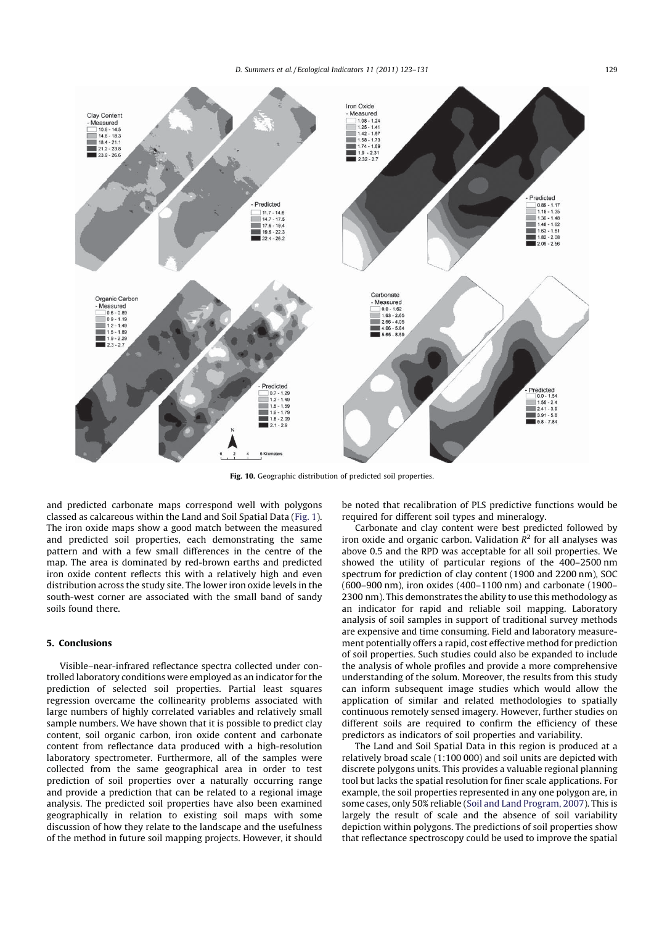

Fig. 10. Geographic distribution of predicted soil properties.

and predicted carbonate maps correspond well with polygons classed as calcareous within the Land and Soil Spatial Data (Fig. 1). The iron oxide maps show a good match between the measured and predicted soil properties, each demonstrating the same pattern and with a few small differences in the centre of the map. The area is dominated by red-brown earths and predicted iron oxide content reflects this with a relatively high and even distribution across the study site. The lower iron oxide levels in the south-west corner are associated with the small band of sandy soils found there.

## 5. Conclusions

Visible–near-infrared reflectance spectra collected under controlled laboratory conditions were employed as an indicator for the prediction of selected soil properties. Partial least squares regression overcame the collinearity problems associated with large numbers of highly correlated variables and relatively small sample numbers. We have shown that it is possible to predict clay content, soil organic carbon, iron oxide content and carbonate content from reflectance data produced with a high-resolution laboratory spectrometer. Furthermore, all of the samples were collected from the same geographical area in order to test prediction of soil properties over a naturally occurring range and provide a prediction that can be related to a regional image analysis. The predicted soil properties have also been examined geographically in relation to existing soil maps with some discussion of how they relate to the landscape and the usefulness of the method in future soil mapping projects. However, it should be noted that recalibration of PLS predictive functions would be required for different soil types and mineralogy.

Carbonate and clay content were best predicted followed by iron oxide and organic carbon. Validation  $R^2$  for all analyses was above 0.5 and the RPD was acceptable for all soil properties. We showed the utility of particular regions of the 400–2500 nm spectrum for prediction of clay content (1900 and 2200 nm), SOC (600–900 nm), iron oxides (400–1100 nm) and carbonate (1900– 2300 nm). This demonstrates the ability to use this methodology as an indicator for rapid and reliable soil mapping. Laboratory analysis of soil samples in support of traditional survey methods are expensive and time consuming. Field and laboratory measurement potentially offers a rapid, cost effective method for prediction of soil properties. Such studies could also be expanded to include the analysis of whole profiles and provide a more comprehensive understanding of the solum. Moreover, the results from this study can inform subsequent image studies which would allow the application of similar and related methodologies to spatially continuous remotely sensed imagery. However, further studies on different soils are required to confirm the efficiency of these predictors as indicators of soil properties and variability.

The Land and Soil Spatial Data in this region is produced at a relatively broad scale (1:100 000) and soil units are depicted with discrete polygons units. This provides a valuable regional planning tool but lacks the spatial resolution for finer scale applications. For example, the soil properties represented in any one polygon are, in some cases, only 50% reliable (Soil and Land Program, 2007). This is largely the result of scale and the absence of soil variability depiction within polygons. The predictions of soil properties show that reflectance spectroscopy could be used to improve the spatial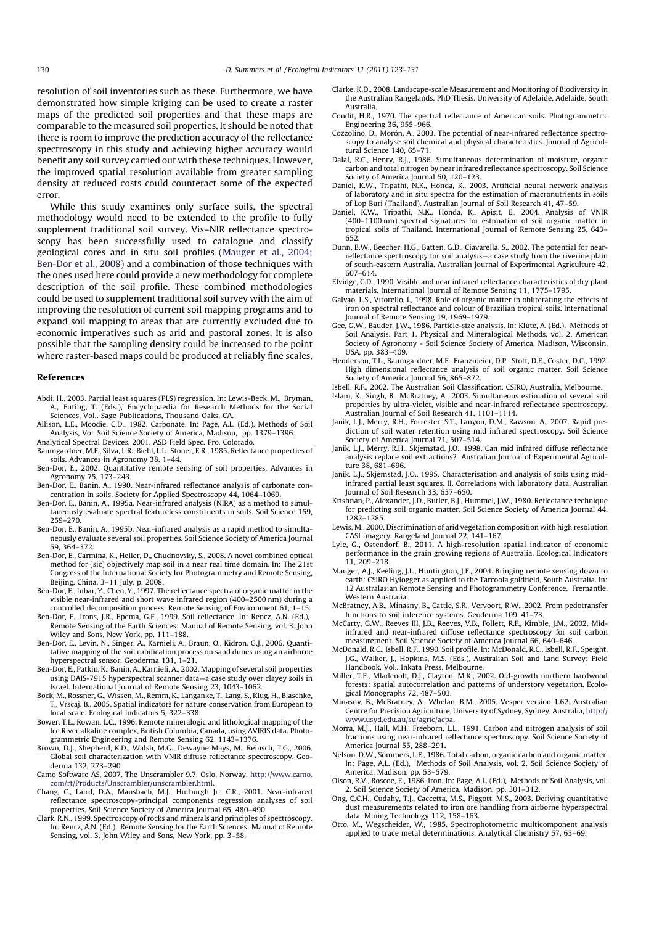resolution of soil inventories such as these. Furthermore, we have demonstrated how simple kriging can be used to create a raster maps of the predicted soil properties and that these maps are comparable to the measured soil properties. It should be noted that there is room to improve the prediction accuracy of the reflectance spectroscopy in this study and achieving higher accuracy would benefit any soil survey carried out with these techniques. However, the improved spatial resolution available from greater sampling density at reduced costs could counteract some of the expected error.

While this study examines only surface soils, the spectral methodology would need to be extended to the profile to fully supplement traditional soil survey. Vis–NIR reflectance spectroscopy has been successfully used to catalogue and classify geological cores and in situ soil profiles (Mauger et al., 2004; Ben-Dor et al., 2008) and a combination of those techniques with the ones used here could provide a new methodology for complete description of the soil profile. These combined methodologies could be used to supplement traditional soil survey with the aim of improving the resolution of current soil mapping programs and to expand soil mapping to areas that are currently excluded due to economic imperatives such as arid and pastoral zones. It is also possible that the sampling density could be increased to the point where raster-based maps could be produced at reliably fine scales.

### References

- Abdi, H., 2003. Partial least squares (PLS) regression. In: Lewis-Beck, M., Bryman, A., Futing, T. (Eds.), Encyclopaedia for Research Methods for the Social Sciences, Vol.. Sage Publications, Thousand Oaks, CA.
- Allison, L.E., Moodie, C.D., 1982. Carbonate. In: Page, A.L. (Ed.), Methods of Soil Analysis, Vol. Soil Science Society of America, Madison, pp. 1379–1396.
- Analytical Spectral Devices, 2001. ASD Field Spec. Pro. Colorado. Baumgardner, M.F., Silva, L.R., Biehl, L.L., Stoner, E.R., 1985. Reflectance properties of soils. Advances in Agronomy 38, 1–44.
- Ben-Dor, E., 2002. Quantitative remote sensing of soil properties. Advances in Agronomy 75, 173–243.
- Ben-Dor, E., Banin, A., 1990. Near-infrared reflectance analysis of carbonate con-
- centration in soils. Society for Applied Spectroscopy 44, 1064–1069. Ben-Dor, E., Banin, A., 1995a. Near-infrared analysis (NIRA) as a method to simultaneously evaluate spectral featureless constituents in soils. Soil Science 159, 259–270.
- Ben-Dor, E., Banin, A., 1995b. Near-infrared analysis as a rapid method to simultaneously evaluate several soil properties. Soil Science Society of America Journal 59, 364–372.
- Ben-Dor, E., Carmina, K., Heller, D., Chudnovsky, S., 2008. A novel combined optical method for (sic) objectively map soil in a near real time domain. In: The 21st Congress of the International Society for Photogrammetry and Remote Sensing,
- Beijing, China, 3–11 July, p. 2008. Ben-Dor, E., Inbar, Y., Chen, Y., 1997. The reflectance spectra of organic matter in the visible near-infrared and short wave infrared region (400–2500 nm) during a controlled decomposition process. Remote Sensing of Environment 61, 1–15.
- Ben-Dor, E., Irons, J.R., Epema, G.F., 1999. Soil reflectance. In: Rencz, A.N. (Ed.), Remote Sensing of the Earth Sciences: Manual of Remote Sensing, vol. 3. John Wiley and Sons, New York, pp. 111–188.
- Ben-Dor, E., Levin, N., Singer, A., Karnieli, A., Braun, O., Kidron, G.J., 2006. Quantitative mapping of the soil rubification process on sand dunes using an airborne hyperspectral sensor. Geoderma 131, 1–21.
- Ben-Dor, E., Patkin, K., Banin, A., Karnieli, A., 2002. Mapping of several soil properties using DAIS-7915 hyperspectral scanner data—a case study over clayey soils in Israel. International Journal of Remote Sensing 23, 1043–1062.
- Bock, M., Rossner, G., Wissen, M., Remm, K., Langanke, T., Lang, S., Klug, H., Blaschke, T., Vrscaj, B., 2005. Spatial indicators for nature conservation from European to local scale. Ecological Indicators 5, 322–338.
- Bower, T.L., Rowan, L.C., 1996. Remote mineralogic and lithological mapping of the Ice River alkaline complex, British Columbia, Canada, using AVIRIS data. Photogrammetric Engineering and Remote Sensing 62, 1143–1376.
- Brown, D.J., Shepherd, K.D., Walsh, M.G., Dewayne Mays, M., Reinsch, T.G., 2006. Global soil characterization with VNIR diffuse reflectance spectroscopy. Geoderma 132, 273–290.

Camo Software AS, 2007. The Unscrambler 9.7. Oslo, Norway, http://www.camo. com/rt/Products/Unscrambler/unscrambler.html.

- Chang, C., Laird, D.A., Mausbach, M.J., Hurburgh Jr., C.R., 2001. Near-infrared reflectance spectroscopy-principal components regression analyses of soil properties. Soil Science Society of America Journal 65, 480–490.
- Clark, R.N., 1999. Spectroscopy of rocks and minerals and principles of spectroscopy. In: Rencz, A.N. (Ed.), Remote Sensing for the Earth Sciences: Manual of Remote Sensing, vol. 3. John Wiley and Sons, New York, pp. 3–58.
- Clarke, K.D., 2008. Landscape-scale Measurement and Monitoring of Biodiversity in the Australian Rangelands. PhD Thesis. University of Adelaide, Adelaide, South Australia.
- Condit, H.R., 1970. The spectral reflectance of American soils. Photogrammetric Engineering 36, 955–966.
- Cozzolino, D., Moro´n, A., 2003. The potential of near-infrared reflectance spectroscopy to analyse soil chemical and physical characteristics. Journal of Agricultural Science 140, 65–71.
- Dalal, R.C., Henry, R.J., 1986. Simultaneous determination of moisture, organic carbon and total nitrogen by near infrared reflectance spectroscopy. Soil Science Society of America Journal 50, 120–123.
- Daniel, K.W., Tripathi, N.K., Honda, K., 2003. Artificial neural network analysis of laboratory and in situ spectra for the estimation of macronutrients in soils of Lop Buri (Thailand). Australian Journal of Soil Research 41, 47–59.
- Daniel, K.W., Tripathi, N.K., Honda, K., Apisit, E., 2004. Analysis of VNIR (400–1100 nm) spectral signatures for estimation of soil organic matter in tropical soils of Thailand. International Journal of Remote Sensing 25, 643– 652.
- Dunn, B.W., Beecher, H.G., Batten, G.D., Ciavarella, S., 2002. The potential for nearreflectance spectroscopy for soil analysis—a case study from the riverine plain of south-eastern Australia. Australian Journal of Experimental Agriculture 42, 607–614.
- Elvidge, C.D., 1990. Visible and near infrared reflectance characteristics of dry plant materials. International Journal of Remote Sensing 11, 1775–1795.
- Galvao, L.S., Vitorello, I., 1998. Role of organic matter in obliterating the effects of iron on spectral reflectance and colour of Brazilian tropical soils. International Journal of Remote Sensing 19, 1969–1979.
- Gee, G.W., Bauder, J.W., 1986. Particle-size analysis. In: Klute, A. (Ed.), Methods of Soil Analysis. Part 1. Physical and Mineralogical Methods, vol. 2. American Society of Agronomy - Soil Science Society of America, Madison, Wisconsin, USA, pp. 383–409.
- Henderson, T.L., Baumgardner, M.F., Franzmeier, D.P., Stott, D.E., Coster, D.C., 1992. High dimensional reflectance analysis of soil organic matter. Soil Science Society of America Journal 56, 865–872.
- Isbell, R.F., 2002. The Australian Soil Classification. CSIRO, Australia, Melbourne.
- Islam, K., Singh, B., McBratney, A., 2003. Simultaneous estimation of several soil properties by ultra-violet, visible and near-infrared reflectance spectroscopy. Australian Journal of Soil Research 41, 1101–1114.
- Janik, L.J., Merry, R.H., Forrester, S.T., Lanyon, D.M., Rawson, A., 2007. Rapid prediction of soil water retention using mid infrared spectroscopy. Soil Science Society of America Journal 71, 507–514.
- Janik, L.J., Merry, R.H., Skjemstad, J.O., 1998. Can mid infrared diffuse reflectance analysis replace soil extractions? Australian Journal of Experimental Agriculture 38, 681–696.
- Janik, L.J., Skjemstad, J.O., 1995. Characterisation and analysis of soils using midinfrared partial least squares. II. Correlations with laboratory data. Australian Journal of Soil Research 33, 637–650.
- Krishnan, P., Alexander, J.D., Butler, B.J., Hummel, J.W., 1980. Reflectance technique for predicting soil organic matter. Soil Science Society of America Journal 44, 1282–1285.
- Lewis, M., 2000. Discrimination of arid vegetation composition with high resolution CASI imagery. Rangeland Journal 22, 141–167.
- Lyle, G., Ostendorf, B., 2011. A high-resolution spatial indicator of economic performance in the grain growing regions of Australia. Ecological Indicators 11, 209–218.
- Mauger, A.J., Keeling, J.L., Huntington, J.F., 2004. Bringing remote sensing down to earth: CSIRO Hylogger as applied to the Tarcoola goldfield, South Australia. In: 12 Australasian Remote Sensing and Photogrammetry Conference, Fremantle, Western Australia.
- McBratney, A.B., Minasny, B., Cattle, S.R., Vervoort, R.W., 2002. From pedotransfer functions to soil inference systems. Geoderma 109, 41–73.
- McCarty, G.W., Reeves III, J.B., Reeves, V.B., Follett, R.F., Kimble, J.M., 2002. Midinfrared and near-infrared diffuse reflectance spectroscopy for soil carbon measurement. Soil Science Society of America Journal 66, 640–646.
- McDonald, R.C., Isbell, R.F., 1990. Soil profile. In: McDonald, R.C., Isbell, R.F., Speight, J.G., Walker, J., Hopkins, M.S. (Eds.), Australian Soil and Land Survey: Field Handbook, Vol.. Inkata Press, Melbourne.
- Miller, T.F., Mladenoff, D.J., Clayton, M.K., 2002. Old-growth northern hardwood forests: spatial autocorrelation and patterns of understory vegetation. Ecological Monographs 72, 487–503.
- Minasny, B., McBratney, A., Whelan, B.M., 2005. Vesper version 1.62. Australian Centre for Precision Agriculture, University of Sydney, Sydney, Australia, http:// www.usyd.edu.au/su/agric/acpa.
- Morra, M.J., Hall, M.H., Freeborn, L.L., 1991. Carbon and nitrogen analysis of soil fractions using near-infrared reflectance spectroscopy. Soil Science Society of America Journal 55, 288–291.
- Nelson, D.W., Sommers, L.E., 1986. Total carbon, organic carbon and organic matter. In: Page, A.L. (Ed.), Methods of Soil Analysis, vol. 2. Soil Science Society of America, Madison, pp. 53–579.
- Olson, R.V., Roscoe, E., 1986. Iron. In: Page, A.L. (Ed.), Methods of Soil Analysis, vol. 2. Soil Science Society of America, Madison, pp. 301–312.
- Ong, C.C.H., Cudahy, T.J., Caccetta, M.S., Piggott, M.S., 2003. Deriving quantitative dust measurements related to iron ore handling from airborne hyperspectral
- data. Mining Technology 112, 158–163. Otto, M., Wegscheider, W., 1985. Spectrophotometric multicomponent analysis applied to trace metal determinations. Analytical Chemistry 57, 63–69.